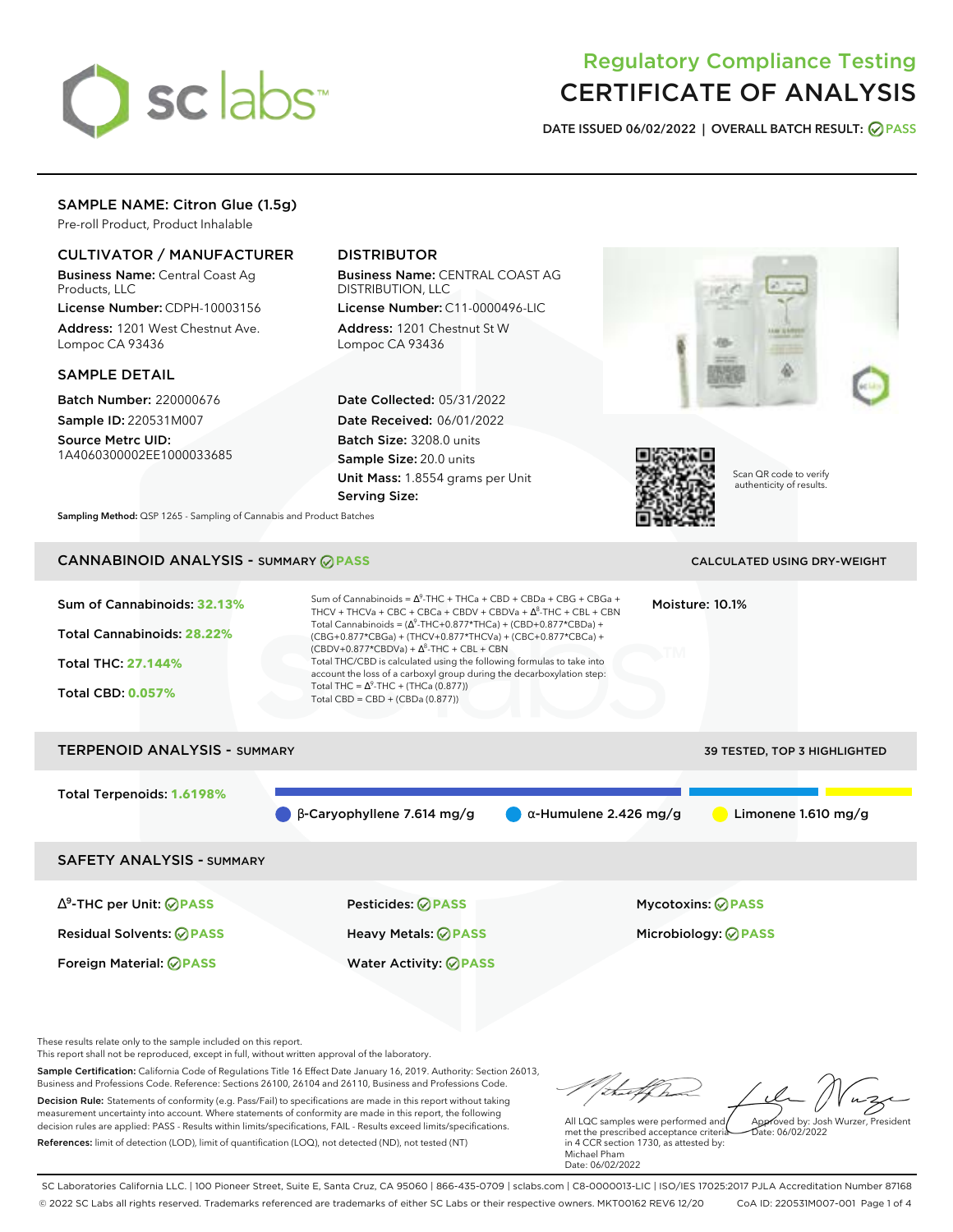

# Regulatory Compliance Testing CERTIFICATE OF ANALYSIS

**DATE ISSUED 06/02/2022 | OVERALL BATCH RESULT: PASS**

## SAMPLE NAME: Citron Glue (1.5g)

Pre-roll Product, Product Inhalable

## CULTIVATOR / MANUFACTURER

Business Name: Central Coast Ag Products, LLC

License Number: CDPH-10003156 Address: 1201 West Chestnut Ave. Lompoc CA 93436

#### SAMPLE DETAIL

Batch Number: 220000676 Sample ID: 220531M007

Source Metrc UID: 1A4060300002EE1000033685

# DISTRIBUTOR

Business Name: CENTRAL COAST AG DISTRIBUTION, LLC License Number: C11-0000496-LIC

Address: 1201 Chestnut St W Lompoc CA 93436

Date Collected: 05/31/2022 Date Received: 06/01/2022 Batch Size: 3208.0 units Sample Size: 20.0 units Unit Mass: 1.8554 grams per Unit Serving Size:





Scan QR code to verify authenticity of results.

**Sampling Method:** QSP 1265 - Sampling of Cannabis and Product Batches

# CANNABINOID ANALYSIS - SUMMARY **PASS** CALCULATED USING DRY-WEIGHT

| Sum of Cannabinoids: 32.13%<br>Total Cannabinoids: 28.22%<br><b>Total THC: 27.144%</b><br><b>Total CBD: 0.057%</b> | Sum of Cannabinoids = $\Delta^9$ -THC + THCa + CBD + CBDa + CBG + CBGa +<br>THCV + THCVa + CBC + CBCa + CBDV + CBDVa + $\Delta^8$ -THC + CBL + CBN<br>Total Cannabinoids = $(\Delta^9$ -THC+0.877*THCa) + (CBD+0.877*CBDa) +<br>(CBG+0.877*CBGa) + (THCV+0.877*THCVa) + (CBC+0.877*CBCa) +<br>$(CBDV+0.877*CBDVa) + \Delta^{8}$ -THC + CBL + CBN<br>Total THC/CBD is calculated using the following formulas to take into<br>account the loss of a carboxyl group during the decarboxylation step:<br>Total THC = $\Delta^9$ -THC + (THCa (0.877))<br>Total CBD = $CBD + (CBDa (0.877))$ | Moisture: 10.1%                     |
|--------------------------------------------------------------------------------------------------------------------|------------------------------------------------------------------------------------------------------------------------------------------------------------------------------------------------------------------------------------------------------------------------------------------------------------------------------------------------------------------------------------------------------------------------------------------------------------------------------------------------------------------------------------------------------------------------------------------|-------------------------------------|
| <b>TERPENOID ANALYSIS - SUMMARY</b>                                                                                |                                                                                                                                                                                                                                                                                                                                                                                                                                                                                                                                                                                          | <b>39 TESTED, TOP 3 HIGHLIGHTED</b> |
| Total Terpenoids: 1.6198%                                                                                          | $\beta$ -Caryophyllene 7.614 mg/g<br>$\alpha$ -Humulene 2.426 mg/g                                                                                                                                                                                                                                                                                                                                                                                                                                                                                                                       | Limonene 1.610 mg/g                 |
| <b>SAFETY ANALYSIS - SUMMARY</b>                                                                                   |                                                                                                                                                                                                                                                                                                                                                                                                                                                                                                                                                                                          |                                     |

∆ 9 -THC per Unit: **PASS** Pesticides: **PASS** Mycotoxins: **PASS** Residual Solvents: **PASS** Heavy Metals: **PASS** Microbiology: **PASS**

Foreign Material: **PASS** Water Activity: **PASS**

These results relate only to the sample included on this report.

This report shall not be reproduced, except in full, without written approval of the laboratory.

Sample Certification: California Code of Regulations Title 16 Effect Date January 16, 2019. Authority: Section 26013, Business and Professions Code. Reference: Sections 26100, 26104 and 26110, Business and Professions Code. Decision Rule: Statements of conformity (e.g. Pass/Fail) to specifications are made in this report without taking measurement uncertainty into account. Where statements of conformity are made in this report, the following decision rules are applied: PASS - Results within limits/specifications, FAIL - Results exceed limits/specifications.

References: limit of detection (LOD), limit of quantification (LOQ), not detected (ND), not tested (NT)

tu of h Approved by: Josh Wurzer, President

Date: 06/02/2022

All LQC samples were performed and met the prescribed acceptance criteria in 4 CCR section 1730, as attested by: Michael Pham Date: 06/02/2022

SC Laboratories California LLC. | 100 Pioneer Street, Suite E, Santa Cruz, CA 95060 | 866-435-0709 | sclabs.com | C8-0000013-LIC | ISO/IES 17025:2017 PJLA Accreditation Number 87168 © 2022 SC Labs all rights reserved. Trademarks referenced are trademarks of either SC Labs or their respective owners. MKT00162 REV6 12/20 CoA ID: 220531M007-001 Page 1 of 4